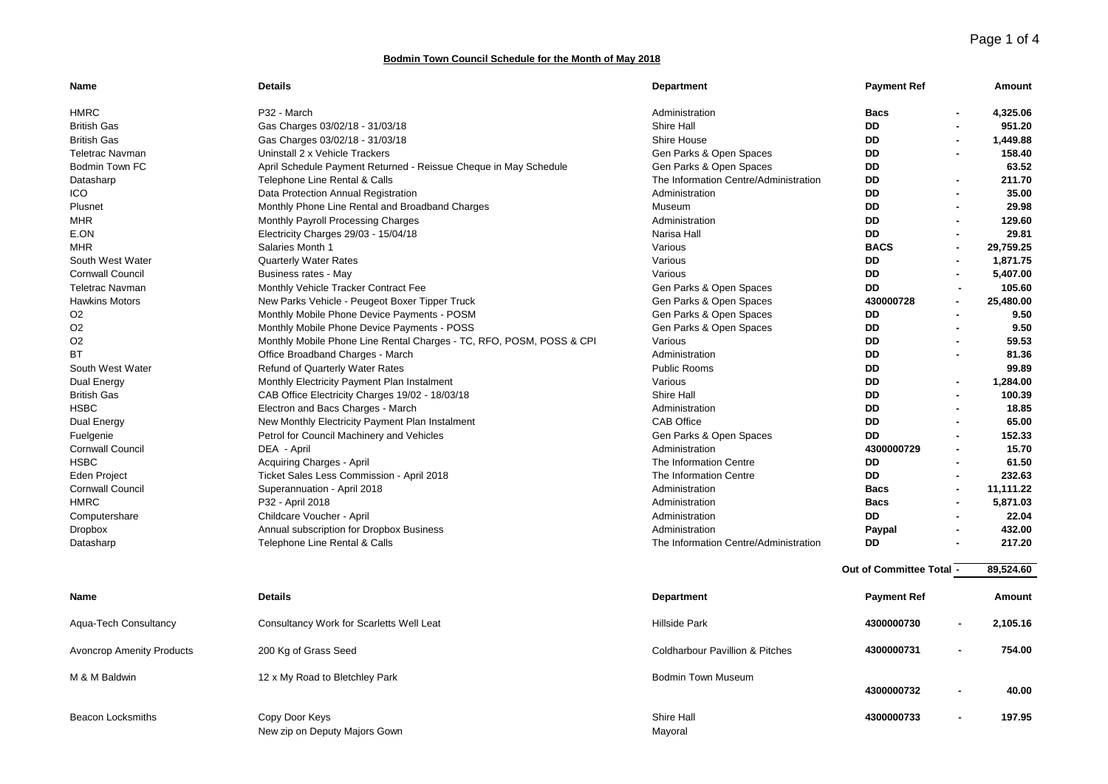## **Bodmin Town Council Schedule for the Month of May 2018**

| Name                             | <b>Details</b>                                                       | <b>Department</b>                          | <b>Payment Ref</b>       |                | Amount    |
|----------------------------------|----------------------------------------------------------------------|--------------------------------------------|--------------------------|----------------|-----------|
| <b>HMRC</b>                      | P32 - March                                                          | Administration                             | <b>Bacs</b>              |                | 4,325.06  |
| <b>British Gas</b>               | Gas Charges 03/02/18 - 31/03/18                                      | <b>Shire Hall</b>                          | <b>DD</b>                |                | 951.20    |
| <b>British Gas</b>               | Gas Charges 03/02/18 - 31/03/18                                      | Shire House                                | DD                       |                | 1,449.88  |
| <b>Teletrac Navman</b>           | Uninstall 2 x Vehicle Trackers                                       | Gen Parks & Open Spaces                    | DD                       |                | 158.40    |
| <b>Bodmin Town FC</b>            | April Schedule Payment Returned - Reissue Cheque in May Schedule     | Gen Parks & Open Spaces                    | DD                       |                | 63.52     |
| Datasharp                        | Telephone Line Rental & Calls                                        | The Information Centre/Administration      | <b>DD</b>                |                | 211.70    |
| <b>ICO</b>                       | Data Protection Annual Registration                                  | Administration                             | <b>DD</b>                |                | 35.00     |
| Plusnet                          | Monthly Phone Line Rental and Broadband Charges                      | Museum                                     | <b>DD</b>                |                | 29.98     |
| <b>MHR</b>                       | Monthly Payroll Processing Charges                                   | Administration                             | <b>DD</b>                |                | 129.60    |
| E.ON                             | Electricity Charges 29/03 - 15/04/18                                 | Narisa Hall                                | <b>DD</b>                |                | 29.81     |
| <b>MHR</b>                       | Salaries Month 1                                                     | Various                                    | <b>BACS</b>              |                | 29,759.25 |
| South West Water                 | <b>Quarterly Water Rates</b>                                         | Various                                    | DD                       |                | 1.871.75  |
| <b>Cornwall Council</b>          | Business rates - May                                                 | Various                                    | DD                       |                | 5,407.00  |
| <b>Teletrac Navman</b>           | Monthly Vehicle Tracker Contract Fee                                 | Gen Parks & Open Spaces                    | DD                       |                | 105.60    |
| <b>Hawkins Motors</b>            | New Parks Vehicle - Peugeot Boxer Tipper Truck                       | Gen Parks & Open Spaces                    | 430000728                |                | 25,480.00 |
| O <sub>2</sub>                   | Monthly Mobile Phone Device Payments - POSM                          | Gen Parks & Open Spaces                    | DD                       |                | 9.50      |
| O <sub>2</sub>                   | Monthly Mobile Phone Device Payments - POSS                          | Gen Parks & Open Spaces                    | DD                       |                | 9.50      |
| O <sub>2</sub>                   | Monthly Mobile Phone Line Rental Charges - TC, RFO, POSM, POSS & CPI | Various                                    | DD                       |                | 59.53     |
| ВT                               | Office Broadband Charges - March                                     | Administration                             | DD                       |                | 81.36     |
| South West Water                 | Refund of Quarterly Water Rates                                      | <b>Public Rooms</b>                        | <b>DD</b>                |                | 99.89     |
| Dual Energy                      | Monthly Electricity Payment Plan Instalment                          | Various                                    | <b>DD</b>                | $\blacksquare$ | 1,284.00  |
| <b>British Gas</b>               | CAB Office Electricity Charges 19/02 - 18/03/18                      | Shire Hall                                 | DD                       |                | 100.39    |
| <b>HSBC</b>                      | Electron and Bacs Charges - March                                    | Administration                             | DD                       |                | 18.85     |
| Dual Energy                      | New Monthly Electricity Payment Plan Instalment                      | <b>CAB Office</b>                          | DD                       |                | 65.00     |
| Fuelgenie                        | Petrol for Council Machinery and Vehicles                            | Gen Parks & Open Spaces                    | DD                       |                | 152.33    |
| <b>Cornwall Council</b>          | DEA - April                                                          | Administration                             | 4300000729               |                | 15.70     |
| <b>HSBC</b>                      | Acquiring Charges - April                                            | The Information Centre                     | DD                       |                | 61.50     |
| <b>Eden Project</b>              | Ticket Sales Less Commission - April 2018                            | The Information Centre                     | <b>DD</b>                |                | 232.63    |
| <b>Cornwall Council</b>          | Superannuation - April 2018                                          | Administration                             | <b>Bacs</b>              |                | 11,111.22 |
| <b>HMRC</b>                      | P32 - April 2018                                                     | Administration                             | <b>Bacs</b>              |                | 5,871.03  |
| Computershare                    | Childcare Voucher - April                                            | Administration                             | <b>DD</b>                |                | 22.04     |
| <b>Dropbox</b>                   | Annual subscription for Dropbox Business                             | Administration                             | Paypal                   |                | 432.00    |
| Datasharp                        | Telephone Line Rental & Calls                                        | The Information Centre/Administration      | DD                       |                | 217.20    |
|                                  |                                                                      |                                            | Out of Committee Total - |                | 89.524.60 |
|                                  |                                                                      |                                            |                          |                |           |
| Name                             | <b>Details</b>                                                       | <b>Department</b>                          | <b>Payment Ref</b>       |                | Amount    |
| Aqua-Tech Consultancy            | Consultancy Work for Scarletts Well Leat                             | <b>Hillside Park</b>                       | 4300000730               |                | 2,105.16  |
| <b>Avoncrop Amenity Products</b> | 200 Kg of Grass Seed                                                 | <b>Coldharbour Pavillion &amp; Pitches</b> | 4300000731               |                | 754.00    |
| M & M Baldwin                    | 12 x My Road to Bletchley Park                                       | <b>Bodmin Town Museum</b>                  |                          |                |           |
|                                  |                                                                      |                                            | 4300000732               |                | 40.00     |
| <b>Beacon Locksmiths</b>         | Copy Door Keys<br>New zip on Deputy Majors Gown                      | Shire Hall<br>Mayoral                      | 4300000733               |                | 197.95    |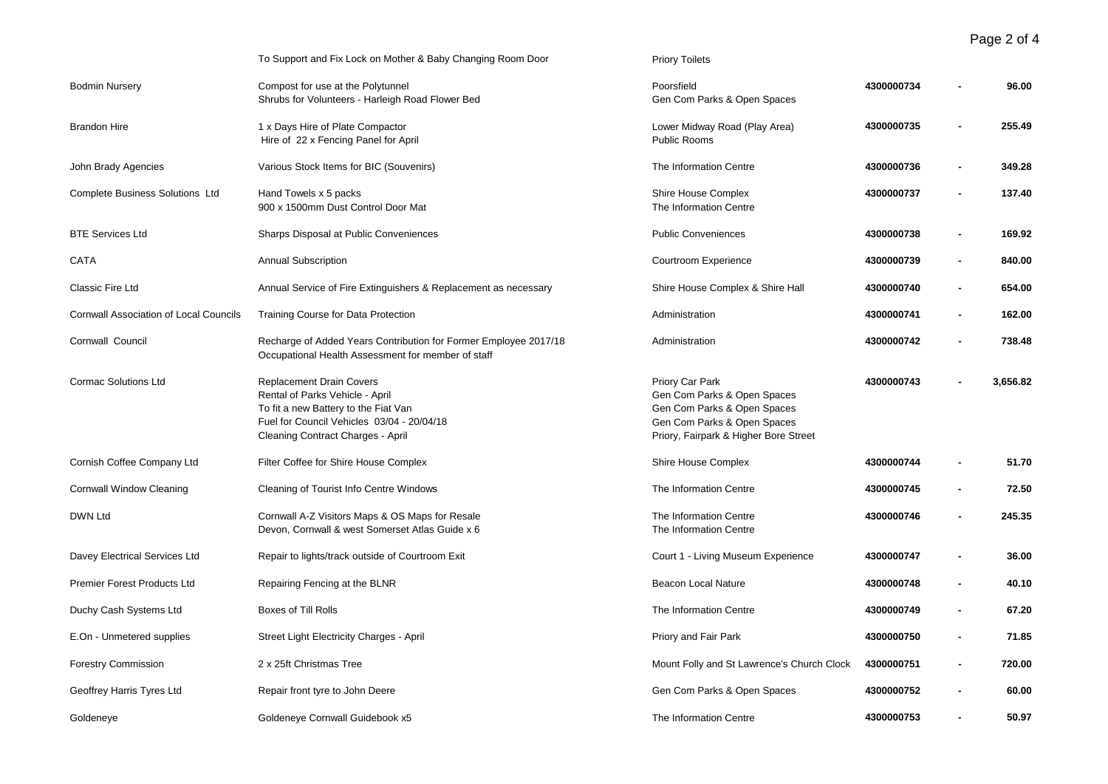Page 2 of 4

|                                               | To Support and Fix Lock on Mother & Baby Changing Room Door                                                                                                                                   | <b>Priory Toilets</b>                                                                                                                                 |            |                |          |
|-----------------------------------------------|-----------------------------------------------------------------------------------------------------------------------------------------------------------------------------------------------|-------------------------------------------------------------------------------------------------------------------------------------------------------|------------|----------------|----------|
| <b>Bodmin Nursery</b>                         | Compost for use at the Polytunnel<br>Shrubs for Volunteers - Harleigh Road Flower Bed                                                                                                         | Poorsfield<br>Gen Com Parks & Open Spaces                                                                                                             | 4300000734 |                | 96.00    |
| <b>Brandon Hire</b>                           | 1 x Days Hire of Plate Compactor<br>Hire of 22 x Fencing Panel for April                                                                                                                      | Lower Midway Road (Play Area)<br>Public Rooms                                                                                                         | 4300000735 |                | 255.49   |
| John Brady Agencies                           | Various Stock Items for BIC (Souvenirs)                                                                                                                                                       | The Information Centre                                                                                                                                | 4300000736 | ä,             | 349.28   |
| Complete Business Solutions Ltd               | Hand Towels x 5 packs<br>900 x 1500mm Dust Control Door Mat                                                                                                                                   | Shire House Complex<br>The Information Centre                                                                                                         | 4300000737 | ä,             | 137.40   |
| <b>BTE Services Ltd</b>                       | Sharps Disposal at Public Conveniences                                                                                                                                                        | <b>Public Conveniences</b>                                                                                                                            | 4300000738 |                | 169.92   |
| CATA                                          | <b>Annual Subscription</b>                                                                                                                                                                    | Courtroom Experience                                                                                                                                  | 4300000739 | $\blacksquare$ | 840.00   |
| Classic Fire Ltd                              | Annual Service of Fire Extinguishers & Replacement as necessary                                                                                                                               | Shire House Complex & Shire Hall                                                                                                                      | 4300000740 | ä,             | 654.00   |
| <b>Cornwall Association of Local Councils</b> | Training Course for Data Protection                                                                                                                                                           | Administration                                                                                                                                        | 4300000741 | $\blacksquare$ | 162.00   |
| Cornwall Council                              | Recharge of Added Years Contribution for Former Employee 2017/18<br>Occupational Health Assessment for member of staff                                                                        | Administration                                                                                                                                        | 4300000742 |                | 738.48   |
| <b>Cormac Solutions Ltd</b>                   | <b>Replacement Drain Covers</b><br>Rental of Parks Vehicle - April<br>To fit a new Battery to the Fiat Van<br>Fuel for Council Vehicles 03/04 - 20/04/18<br>Cleaning Contract Charges - April | Priory Car Park<br>Gen Com Parks & Open Spaces<br>Gen Com Parks & Open Spaces<br>Gen Com Parks & Open Spaces<br>Priory, Fairpark & Higher Bore Street | 4300000743 |                | 3,656.82 |
| Cornish Coffee Company Ltd                    | Filter Coffee for Shire House Complex                                                                                                                                                         | Shire House Complex                                                                                                                                   | 4300000744 | ×,             | 51.70    |
| Cornwall Window Cleaning                      | Cleaning of Tourist Info Centre Windows                                                                                                                                                       | The Information Centre                                                                                                                                | 4300000745 |                | 72.50    |
| <b>DWN Ltd</b>                                | Cornwall A-Z Visitors Maps & OS Maps for Resale<br>Devon, Cornwall & west Somerset Atlas Guide x 6                                                                                            | The Information Centre<br>The Information Centre                                                                                                      | 4300000746 |                | 245.35   |
| Davey Electrical Services Ltd                 | Repair to lights/track outside of Courtroom Exit                                                                                                                                              | Court 1 - Living Museum Experience                                                                                                                    | 4300000747 |                | 36.00    |
| Premier Forest Products Ltd                   | Repairing Fencing at the BLNR                                                                                                                                                                 | <b>Beacon Local Nature</b>                                                                                                                            | 4300000748 | $\blacksquare$ | 40.10    |
| Duchy Cash Systems Ltd                        | Boxes of Till Rolls                                                                                                                                                                           | The Information Centre                                                                                                                                | 4300000749 |                | 67.20    |
| E.On - Unmetered supplies                     | Street Light Electricity Charges - April                                                                                                                                                      | Priory and Fair Park                                                                                                                                  | 4300000750 | $\blacksquare$ | 71.85    |
| <b>Forestry Commission</b>                    | 2 x 25ft Christmas Tree                                                                                                                                                                       | Mount Folly and St Lawrence's Church Clock                                                                                                            | 4300000751 |                | 720.00   |
| Geoffrey Harris Tyres Ltd                     | Repair front tyre to John Deere                                                                                                                                                               | Gen Com Parks & Open Spaces                                                                                                                           | 4300000752 |                | 60.00    |
| Goldeneye                                     | Goldeneye Cornwall Guidebook x5                                                                                                                                                               | The Information Centre                                                                                                                                | 4300000753 | ä,             | 50.97    |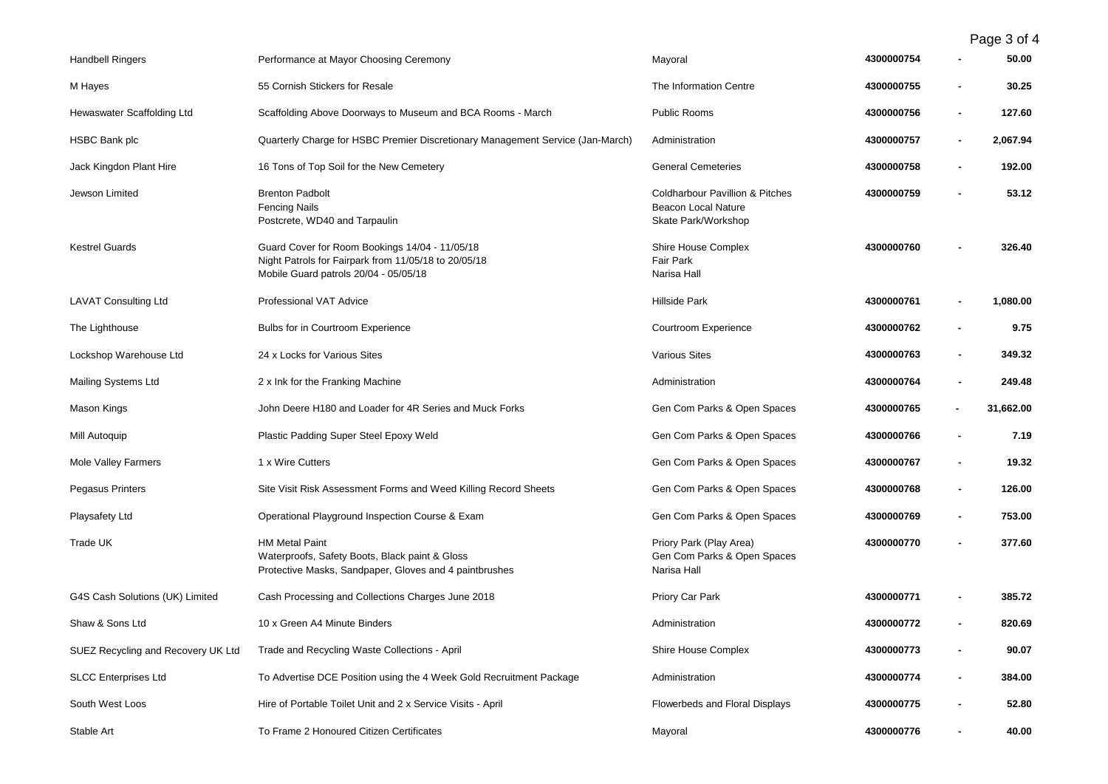Page 3 of 4

| <b>Handbell Ringers</b>            | Performance at Mayor Choosing Ceremony                                                                                                          | Mayoral                                                                                  | 4300000754 |                | 50.00     |
|------------------------------------|-------------------------------------------------------------------------------------------------------------------------------------------------|------------------------------------------------------------------------------------------|------------|----------------|-----------|
| M Hayes                            | 55 Cornish Stickers for Resale                                                                                                                  | The Information Centre                                                                   | 4300000755 |                | 30.25     |
| Hewaswater Scaffolding Ltd         | Scaffolding Above Doorways to Museum and BCA Rooms - March                                                                                      | Public Rooms                                                                             | 4300000756 |                | 127.60    |
| HSBC Bank plc                      | Quarterly Charge for HSBC Premier Discretionary Management Service (Jan-March)                                                                  | Administration                                                                           | 4300000757 |                | 2,067.94  |
| Jack Kingdon Plant Hire            | 16 Tons of Top Soil for the New Cemetery                                                                                                        | <b>General Cemeteries</b>                                                                | 4300000758 |                | 192.00    |
| Jewson Limited                     | <b>Brenton Padbolt</b><br><b>Fencing Nails</b><br>Postcrete, WD40 and Tarpaulin                                                                 | <b>Coldharbour Pavillion &amp; Pitches</b><br>Beacon Local Nature<br>Skate Park/Workshop | 4300000759 |                | 53.12     |
| <b>Kestrel Guards</b>              | Guard Cover for Room Bookings 14/04 - 11/05/18<br>Night Patrols for Fairpark from 11/05/18 to 20/05/18<br>Mobile Guard patrols 20/04 - 05/05/18 | Shire House Complex<br>Fair Park<br>Narisa Hall                                          | 4300000760 |                | 326.40    |
| <b>LAVAT Consulting Ltd</b>        | Professional VAT Advice                                                                                                                         | <b>Hillside Park</b>                                                                     | 4300000761 |                | 1,080.00  |
| The Lighthouse                     | Bulbs for in Courtroom Experience                                                                                                               | Courtroom Experience                                                                     | 4300000762 |                | 9.75      |
| Lockshop Warehouse Ltd             | 24 x Locks for Various Sites                                                                                                                    | <b>Various Sites</b>                                                                     | 4300000763 |                | 349.32    |
| <b>Mailing Systems Ltd</b>         | 2 x Ink for the Franking Machine                                                                                                                | Administration                                                                           | 4300000764 |                | 249.48    |
| Mason Kings                        | John Deere H180 and Loader for 4R Series and Muck Forks                                                                                         | Gen Com Parks & Open Spaces                                                              | 4300000765 | $\blacksquare$ | 31,662.00 |
| Mill Autoquip                      | Plastic Padding Super Steel Epoxy Weld                                                                                                          | Gen Com Parks & Open Spaces                                                              | 4300000766 |                | 7.19      |
| <b>Mole Valley Farmers</b>         | 1 x Wire Cutters                                                                                                                                | Gen Com Parks & Open Spaces                                                              | 4300000767 |                | 19.32     |
| Pegasus Printers                   | Site Visit Risk Assessment Forms and Weed Killing Record Sheets                                                                                 | Gen Com Parks & Open Spaces                                                              | 4300000768 |                | 126.00    |
| Playsafety Ltd                     | Operational Playground Inspection Course & Exam                                                                                                 | Gen Com Parks & Open Spaces                                                              | 4300000769 |                | 753.00    |
| Trade UK                           | <b>HM Metal Paint</b><br>Waterproofs, Safety Boots, Black paint & Gloss<br>Protective Masks, Sandpaper, Gloves and 4 paintbrushes               | Priory Park (Play Area)<br>Gen Com Parks & Open Spaces<br>Narisa Hall                    | 4300000770 |                | 377.60    |
| G4S Cash Solutions (UK) Limited    | Cash Processing and Collections Charges June 2018                                                                                               | Priory Car Park                                                                          | 4300000771 |                | 385.72    |
| Shaw & Sons Ltd                    | 10 x Green A4 Minute Binders                                                                                                                    | Administration                                                                           | 4300000772 |                | 820.69    |
| SUEZ Recycling and Recovery UK Ltd | Trade and Recycling Waste Collections - April                                                                                                   | Shire House Complex                                                                      | 4300000773 |                | 90.07     |
| <b>SLCC Enterprises Ltd</b>        | To Advertise DCE Position using the 4 Week Gold Recruitment Package                                                                             | Administration                                                                           | 4300000774 |                | 384.00    |
| South West Loos                    | Hire of Portable Toilet Unit and 2 x Service Visits - April                                                                                     | Flowerbeds and Floral Displays                                                           | 4300000775 |                | 52.80     |
| Stable Art                         | To Frame 2 Honoured Citizen Certificates                                                                                                        | Mayoral                                                                                  | 4300000776 |                | 40.00     |